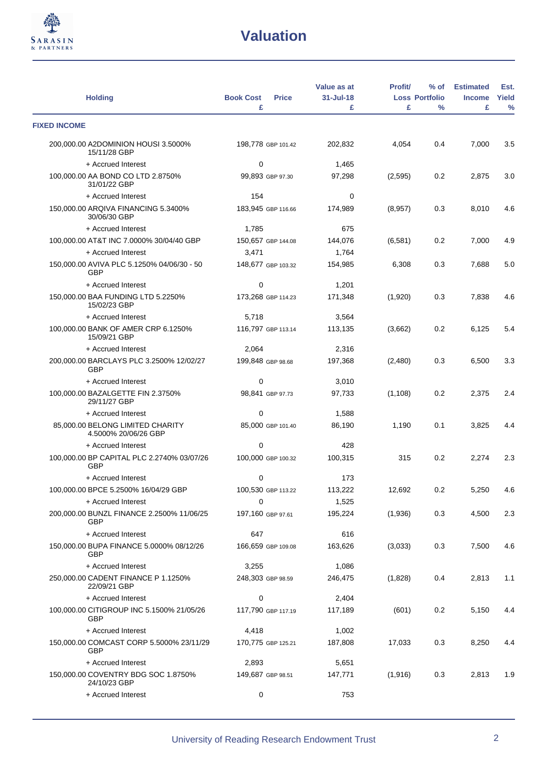

| <b>Holding</b>                                           | <b>Book Cost</b><br><b>Price</b><br>£ | Value as at<br>31-Jul-18<br>£ | <b>Profit/</b><br>£ | $%$ of<br><b>Loss Portfolio</b><br>$\frac{0}{0}$ | <b>Estimated</b><br><b>Income</b><br>£ | Est.<br>Yield<br>$\%$ |
|----------------------------------------------------------|---------------------------------------|-------------------------------|---------------------|--------------------------------------------------|----------------------------------------|-----------------------|
| <b>FIXED INCOME</b>                                      |                                       |                               |                     |                                                  |                                        |                       |
| 200,000.00 A2DOMINION HOUSI 3.5000%                      | 198,778 GBP 101.42                    | 202,832                       | 4,054               | 0.4                                              | 7,000                                  | 3.5                   |
| 15/11/28 GBP                                             |                                       |                               |                     |                                                  |                                        |                       |
| + Accrued Interest                                       | 0                                     | 1,465                         |                     |                                                  |                                        |                       |
| 100,000.00 AA BOND CO LTD 2.8750%<br>31/01/22 GBP        | 99,893 GBP 97.30                      | 97,298                        | (2,595)             | 0.2                                              | 2,875                                  | 3.0                   |
| + Accrued Interest                                       | 154                                   | 0                             |                     |                                                  |                                        |                       |
| 150,000.00 ARQIVA FINANCING 5.3400%<br>30/06/30 GBP      | 183,945 GBP 116.66                    | 174,989                       | (8,957)             | 0.3                                              | 8,010                                  | 4.6                   |
| + Accrued Interest                                       | 1,785                                 | 675                           |                     |                                                  |                                        |                       |
| 100,000.00 AT&T INC 7.0000% 30/04/40 GBP                 | 150,657 GBP 144.08                    | 144,076                       | (6,581)             | 0.2                                              | 7,000                                  | 4.9                   |
| + Accrued Interest                                       | 3,471                                 | 1,764                         |                     |                                                  |                                        |                       |
| 150,000.00 AVIVA PLC 5.1250% 04/06/30 - 50<br><b>GBP</b> | 148,677 GBP 103.32                    | 154,985                       | 6,308               | 0.3                                              | 7,688                                  | 5.0                   |
| + Accrued Interest                                       | $\mathbf 0$                           | 1,201                         |                     |                                                  |                                        |                       |
| 150,000.00 BAA FUNDING LTD 5.2250%<br>15/02/23 GBP       | 173,268 GBP 114.23                    | 171,348                       | (1,920)             | 0.3                                              | 7,838                                  | 4.6                   |
| + Accrued Interest                                       | 5,718                                 | 3,564                         |                     |                                                  |                                        |                       |
| 100,000.00 BANK OF AMER CRP 6.1250%<br>15/09/21 GBP      | 116.797 GBP 113.14                    | 113,135                       | (3,662)             | 0.2                                              | 6,125                                  | 5.4                   |
| + Accrued Interest                                       | 2,064                                 | 2,316                         |                     |                                                  |                                        |                       |
| 200,000.00 BARCLAYS PLC 3.2500% 12/02/27<br><b>GBP</b>   | 199,848 GBP 98.68                     | 197,368                       | (2,480)             | 0.3                                              | 6,500                                  | 3.3                   |
| + Accrued Interest                                       | 0                                     | 3,010                         |                     |                                                  |                                        |                       |
| 100,000.00 BAZALGETTE FIN 2.3750%<br>29/11/27 GBP        | 98,841 GBP 97.73                      | 97,733                        | (1, 108)            | 0.2                                              | 2,375                                  | 2.4                   |
| + Accrued Interest                                       | $\mathbf 0$                           | 1,588                         |                     |                                                  |                                        |                       |
| 85,000.00 BELONG LIMITED CHARITY<br>4.5000% 20/06/26 GBP | 85,000 GBP 101.40                     | 86,190                        | 1,190               | 0.1                                              | 3,825                                  | 4.4                   |
| + Accrued Interest                                       | $\mathbf 0$                           | 428                           |                     |                                                  |                                        |                       |
| 100,000.00 BP CAPITAL PLC 2.2740% 03/07/26<br><b>GBP</b> | 100,000 GBP 100.32                    | 100,315                       | 315                 | 0.2                                              | 2,274                                  | 2.3                   |
| + Accrued Interest                                       | 0                                     | 173                           |                     |                                                  |                                        |                       |
| 100,000.00 BPCE 5.2500% 16/04/29 GBP                     | 100,530 GBP 113.22                    | 113,222                       | 12,692              | $0.2\,$                                          | 5,250                                  | 4.6                   |
| + Accrued Interest                                       | 0                                     | 1,525                         |                     |                                                  |                                        |                       |
| 200,000.00 BUNZL FINANCE 2.2500% 11/06/25<br><b>GBP</b>  | 197,160 GBP 97.61                     | 195,224                       | (1,936)             | 0.3                                              | 4,500                                  | 2.3                   |
| + Accrued Interest                                       | 647                                   | 616                           |                     |                                                  |                                        |                       |
| 150,000.00 BUPA FINANCE 5.0000% 08/12/26<br><b>GBP</b>   | 166,659 GBP 109.08                    | 163,626                       | (3,033)             | 0.3                                              | 7,500                                  | 4.6                   |
| + Accrued Interest                                       | 3,255                                 | 1,086                         |                     |                                                  |                                        |                       |
| 250,000.00 CADENT FINANCE P 1.1250%<br>22/09/21 GBP      | 248,303 GBP 98.59                     | 246,475                       | (1,828)             | 0.4                                              | 2,813                                  | 1.1                   |
| + Accrued Interest                                       | 0                                     | 2,404                         |                     |                                                  |                                        |                       |
| 100,000.00 CITIGROUP INC 5.1500% 21/05/26<br><b>GBP</b>  | 117,790 GBP 117.19                    | 117,189                       | (601)               | 0.2                                              | 5,150                                  | 4.4                   |
| + Accrued Interest                                       | 4,418                                 | 1,002                         |                     |                                                  |                                        |                       |
| 150,000.00 COMCAST CORP 5.5000% 23/11/29<br><b>GBP</b>   | 170,775 GBP 125.21                    | 187,808                       | 17,033              | 0.3                                              | 8,250                                  | 4.4                   |
| + Accrued Interest                                       | 2,893                                 | 5,651                         |                     |                                                  |                                        |                       |
| 150,000.00 COVENTRY BDG SOC 1.8750%<br>24/10/23 GBP      | 149,687 GBP 98.51                     | 147,771                       | (1,916)             | 0.3                                              | 2,813                                  | 1.9                   |
| + Accrued Interest                                       | 0                                     | 753                           |                     |                                                  |                                        |                       |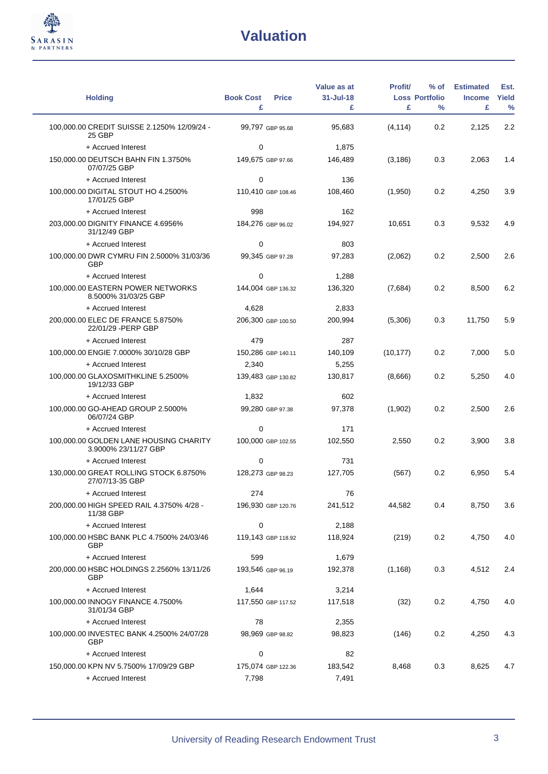

 $\overline{\phantom{0}}$ 

| <b>Holding</b>                                                 | <b>Book Cost</b><br><b>Price</b><br>£ | Value as at<br>31-Jul-18<br>£ | <b>Profit</b><br>£ | $%$ of<br><b>Loss Portfolio</b><br>% | <b>Estimated</b><br><b>Income</b><br>£ | Est.<br>Yield<br>$\frac{0}{0}$ |
|----------------------------------------------------------------|---------------------------------------|-------------------------------|--------------------|--------------------------------------|----------------------------------------|--------------------------------|
| 100.000.00 CREDIT SUISSE 2.1250% 12/09/24 -<br>25 GBP          | 99,797 GBP 95.68                      | 95,683                        | (4, 114)           | 0.2                                  | 2.125                                  | 2.2                            |
| + Accrued Interest                                             | 0                                     | 1,875                         |                    |                                      |                                        |                                |
| 150,000.00 DEUTSCH BAHN FIN 1.3750%<br>07/07/25 GBP            | 149,675 GBP 97.66                     | 146,489                       | (3, 186)           | 0.3                                  | 2,063                                  | 1.4                            |
| + Accrued Interest                                             | 0                                     | 136                           |                    |                                      |                                        |                                |
| 100,000.00 DIGITAL STOUT HO 4.2500%<br>17/01/25 GBP            | 110,410 GBP 108.46                    | 108,460                       | (1,950)            | 0.2                                  | 4,250                                  | 3.9                            |
| + Accrued Interest                                             | 998                                   | 162                           |                    |                                      |                                        |                                |
| 203,000.00 DIGNITY FINANCE 4.6956%<br>31/12/49 GBP             | 184,276 GBP 96.02                     | 194,927                       | 10,651             | 0.3                                  | 9,532                                  | 4.9                            |
| + Accrued Interest                                             | 0                                     | 803                           |                    |                                      |                                        |                                |
| 100,000.00 DWR CYMRU FIN 2.5000% 31/03/36<br>GBP               | 99,345 GBP 97.28                      | 97,283                        | (2,062)            | 0.2                                  | 2,500                                  | 2.6                            |
| + Accrued Interest                                             | 0                                     | 1,288                         |                    |                                      |                                        |                                |
| 100,000.00 EASTERN POWER NETWORKS<br>8.5000% 31/03/25 GBP      | 144,004 GBP 136.32                    | 136,320                       | (7,684)            | 0.2                                  | 8,500                                  | 6.2                            |
| + Accrued Interest                                             | 4,628                                 | 2,833                         |                    |                                      |                                        |                                |
| 200,000.00 ELEC DE FRANCE 5.8750%<br>22/01/29 - PERP GBP       | 206,300 GBP 100.50                    | 200,994                       | (5,306)            | 0.3                                  | 11,750                                 | 5.9                            |
| + Accrued Interest                                             | 479                                   | 287                           |                    |                                      |                                        |                                |
| 100,000.00 ENGIE 7.0000% 30/10/28 GBP                          | 150,286 GBP 140.11                    | 140,109                       | (10, 177)          | 0.2                                  | 7,000                                  | 5.0                            |
| + Accrued Interest                                             | 2,340                                 | 5,255                         |                    |                                      |                                        |                                |
| 100,000.00 GLAXOSMITHKLINE 5.2500%<br>19/12/33 GBP             | 139,483 GBP 130.82                    | 130,817                       | (8,666)            | 0.2                                  | 5,250                                  | 4.0                            |
| + Accrued Interest                                             | 1,832                                 | 602                           |                    |                                      |                                        |                                |
| 100,000.00 GO-AHEAD GROUP 2.5000%<br>06/07/24 GBP              | 99,280 GBP 97.38                      | 97,378                        | (1,902)            | 0.2                                  | 2,500                                  | 2.6                            |
| + Accrued Interest                                             | 0                                     | 171                           |                    |                                      |                                        |                                |
| 100,000.00 GOLDEN LANE HOUSING CHARITY<br>3.9000% 23/11/27 GBP | 100,000 GBP 102.55                    | 102,550                       | 2,550              | 0.2                                  | 3,900                                  | 3.8                            |
| + Accrued Interest                                             | 0                                     | 731                           |                    |                                      |                                        |                                |
| 130,000.00 GREAT ROLLING STOCK 6.8750%<br>27/07/13-35 GBP      | 128,273 GBP 98.23                     | 127,705                       | (567)              | 0.2                                  | 6.950                                  | 5.4                            |
| + Accrued Interest                                             | 274                                   | 76                            |                    |                                      |                                        |                                |
| 200,000.00 HIGH SPEED RAIL 4.3750% 4/28 -<br>11/38 GBP         | 196,930 GBP 120.76                    | 241,512                       | 44,582             | 0.4                                  | 8,750                                  | 3.6                            |
| + Accrued Interest                                             | 0                                     | 2,188                         |                    |                                      |                                        |                                |
| 100,000.00 HSBC BANK PLC 4.7500% 24/03/46<br>GBP               | 119,143 GBP 118.92                    | 118,924                       | (219)              | 0.2                                  | 4,750                                  | 4.0                            |
| + Accrued Interest                                             | 599                                   | 1,679                         |                    |                                      |                                        |                                |
| 200,000.00 HSBC HOLDINGS 2.2560% 13/11/26<br>GBP               | 193,546 GBP 96.19                     | 192,378                       | (1, 168)           | 0.3                                  | 4,512                                  | 2.4                            |
| + Accrued Interest                                             | 1,644                                 | 3,214                         |                    |                                      |                                        |                                |
| 100,000.00 INNOGY FINANCE 4.7500%<br>31/01/34 GBP              | 117,550 GBP 117.52                    | 117,518                       | (32)               | 0.2                                  | 4,750                                  | 4.0                            |
| + Accrued Interest                                             | 78                                    | 2,355                         |                    |                                      |                                        |                                |
| 100,000.00 INVESTEC BANK 4.2500% 24/07/28<br>GBP               | 98,969 GBP 98.82                      | 98,823                        | (146)              | 0.2                                  | 4,250                                  | 4.3                            |
| + Accrued Interest                                             | 0                                     | 82                            |                    |                                      |                                        |                                |
| 150,000.00 KPN NV 5.7500% 17/09/29 GBP                         | 175,074 GBP 122.36                    | 183,542                       | 8,468              | 0.3                                  | 8,625                                  | 4.7                            |
| + Accrued Interest                                             | 7,798                                 | 7,491                         |                    |                                      |                                        |                                |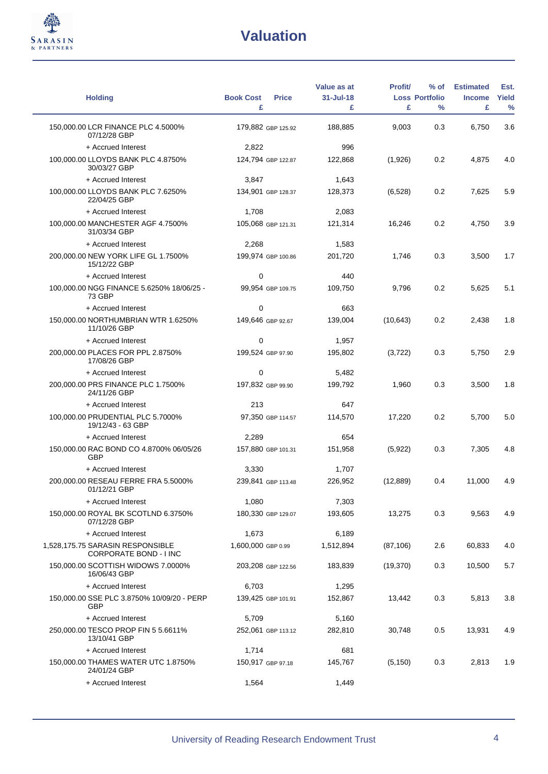

| <b>Holding</b>                                             | <b>Book Cost</b><br><b>Price</b> | Value as at<br>31-Jul-18 | <b>Profit/</b> | $%$ of<br><b>Loss Portfolio</b> | <b>Estimated</b><br><b>Income</b> | Est.<br><b>Yield</b> |
|------------------------------------------------------------|----------------------------------|--------------------------|----------------|---------------------------------|-----------------------------------|----------------------|
|                                                            | £                                | £                        | £              | $\frac{0}{0}$                   | £                                 | $\frac{0}{0}$        |
| 150,000.00 LCR FINANCE PLC 4.5000%<br>07/12/28 GBP         | 179,882 GBP 125.92               | 188,885                  | 9.003          | 0.3                             | 6,750                             | 3.6                  |
| + Accrued Interest                                         | 2,822                            | 996                      |                |                                 |                                   |                      |
| 100,000.00 LLOYDS BANK PLC 4.8750%<br>30/03/27 GBP         | 124,794 GBP 122.87               | 122,868                  | (1,926)        | 0.2                             | 4,875                             | 4.0                  |
| + Accrued Interest                                         | 3,847                            | 1,643                    |                |                                 |                                   |                      |
| 100,000.00 LLOYDS BANK PLC 7.6250%<br>22/04/25 GBP         | 134,901 GBP 128.37               | 128,373                  | (6, 528)       | 0.2                             | 7,625                             | 5.9                  |
| + Accrued Interest                                         | 1,708                            | 2,083                    |                |                                 |                                   |                      |
| 100,000.00 MANCHESTER AGF 4.7500%<br>31/03/34 GBP          | 105,068 GBP 121.31               | 121,314                  | 16,246         | 0.2                             | 4,750                             | 3.9                  |
| + Accrued Interest                                         | 2,268                            | 1,583                    |                |                                 |                                   |                      |
| 200,000.00 NEW YORK LIFE GL 1.7500%<br>15/12/22 GBP        | 199,974 GBP 100.86               | 201,720                  | 1,746          | 0.3                             | 3,500                             | 1.7                  |
| + Accrued Interest                                         | 0                                | 440                      |                |                                 |                                   |                      |
| 100,000.00 NGG FINANCE 5.6250% 18/06/25 -<br>73 GBP        | 99,954 GBP 109.75                | 109,750                  | 9,796          | 0.2                             | 5,625                             | 5.1                  |
| + Accrued Interest                                         | 0                                | 663                      |                |                                 |                                   |                      |
| 150,000.00 NORTHUMBRIAN WTR 1.6250%<br>11/10/26 GBP        | 149,646 GBP 92.67                | 139,004                  | (10, 643)      | 0.2                             | 2,438                             | 1.8                  |
| + Accrued Interest                                         | 0                                | 1,957                    |                |                                 |                                   |                      |
| 200,000.00 PLACES FOR PPL 2.8750%<br>17/08/26 GBP          | 199,524 GBP 97.90                | 195,802                  | (3, 722)       | 0.3                             | 5,750                             | 2.9                  |
| + Accrued Interest                                         | $\mathbf 0$                      | 5,482                    |                |                                 |                                   |                      |
| 200,000.00 PRS FINANCE PLC 1.7500%<br>24/11/26 GBP         | 197,832 GBP 99.90                | 199,792                  | 1,960          | 0.3                             | 3,500                             | 1.8                  |
| + Accrued Interest                                         | 213                              | 647                      |                |                                 |                                   |                      |
| 100,000.00 PRUDENTIAL PLC 5.7000%<br>19/12/43 - 63 GBP     | 97,350 GBP 114.57                | 114,570                  | 17,220         | 0.2                             | 5,700                             | 5.0                  |
| + Accrued Interest                                         | 2,289                            | 654                      |                |                                 |                                   |                      |
| 150,000.00 RAC BOND CO 4.8700% 06/05/26<br><b>GBP</b>      | 157,880 GBP 101.31               | 151,958                  | (5,922)        | 0.3                             | 7,305                             | 4.8                  |
| + Accrued Interest                                         | 3,330                            | 1,707                    |                |                                 |                                   |                      |
| 200,000.00 RESEAU FERRE FRA 5.5000%<br>01/12/21 GBP        | 239,841 GBP 113.48               | 226,952                  | (12, 889)      | 0.4                             | 11,000                            | 4.9                  |
| + Accrued Interest                                         | 1,080                            | 7,303                    |                |                                 |                                   |                      |
| 150,000.00 ROYAL BK SCOTLND 6.3750%<br>07/12/28 GBP        | 180,330 GBP 129.07               | 193,605                  | 13,275         | 0.3                             | 9,563                             | 4.9                  |
| + Accrued Interest                                         | 1,673                            | 6,189                    |                |                                 |                                   |                      |
| 1,528,175.75 SARASIN RESPONSIBLE<br>CORPORATE BOND - I INC | 1,600,000 GBP 0.99               | 1,512,894                | (87, 106)      | 2.6                             | 60,833                            | 4.0                  |
| 150,000.00 SCOTTISH WIDOWS 7.0000%<br>16/06/43 GBP         | 203,208 GBP 122.56               | 183,839                  | (19,370)       | 0.3                             | 10,500                            | 5.7                  |
| + Accrued Interest                                         | 6,703                            | 1,295                    |                |                                 |                                   |                      |
| 150,000.00 SSE PLC 3.8750% 10/09/20 - PERP<br><b>GBP</b>   | 139,425 GBP 101.91               | 152,867                  | 13,442         | 0.3                             | 5,813                             | 3.8                  |
| + Accrued Interest                                         | 5,709                            | 5,160                    |                |                                 |                                   |                      |
| 250,000.00 TESCO PROP FIN 5 5.6611%<br>13/10/41 GBP        | 252,061 GBP 113.12               | 282,810                  | 30,748         | 0.5                             | 13,931                            | 4.9                  |
| + Accrued Interest                                         | 1,714                            | 681                      |                |                                 |                                   |                      |
| 150,000.00 THAMES WATER UTC 1.8750%<br>24/01/24 GBP        | 150,917 GBP 97.18                | 145,767                  | (5, 150)       | 0.3                             | 2,813                             | 1.9                  |
| + Accrued Interest                                         | 1,564                            | 1,449                    |                |                                 |                                   |                      |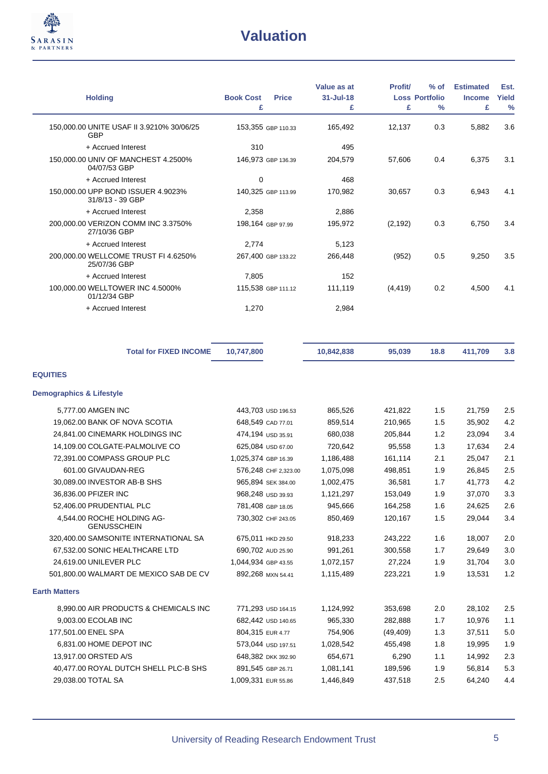

| <b>Holding</b>                                          | <b>Book Cost</b><br><b>Price</b> | Value as at<br>$31 -$ Jul-18 | <b>Profit/</b> | $%$ of<br><b>Loss Portfolio</b> | <b>Estimated</b><br><b>Income</b> | Est.<br>Yield |
|---------------------------------------------------------|----------------------------------|------------------------------|----------------|---------------------------------|-----------------------------------|---------------|
|                                                         | £                                | £                            | £              | $\%$                            | £                                 | $\frac{0}{0}$ |
| 150,000.00 UNITE USAF II 3.9210% 30/06/25<br><b>GBP</b> | 153,355 GBP 110.33               | 165,492                      | 12,137         | 0.3                             | 5,882                             | 3.6           |
| + Accrued Interest                                      | 310                              | 495                          |                |                                 |                                   |               |
| 150,000.00 UNIV OF MANCHEST 4.2500%<br>04/07/53 GBP     | 146,973 GBP 136.39               | 204,579                      | 57,606         | 0.4                             | 6,375                             | 3.1           |
| + Accrued Interest                                      | 0                                | 468                          |                |                                 |                                   |               |
| 150,000.00 UPP BOND ISSUER 4.9023%<br>31/8/13 - 39 GBP  | 140,325 GBP 113.99               | 170,982                      | 30.657         | 0.3                             | 6,943                             | 4.1           |
| + Accrued Interest                                      | 2,358                            | 2,886                        |                |                                 |                                   |               |
| 200,000.00 VERIZON COMM INC 3.3750%<br>27/10/36 GBP     | 198,164 GBP 97.99                | 195,972                      | (2, 192)       | 0.3                             | 6,750                             | 3.4           |
| + Accrued Interest                                      | 2,774                            | 5,123                        |                |                                 |                                   |               |
| 200,000.00 WELLCOME TRUST FI 4.6250%<br>25/07/36 GBP    | 267,400 GBP 133.22               | 266,448                      | (952)          | 0.5                             | 9,250                             | 3.5           |
| + Accrued Interest                                      | 7,805                            | 152                          |                |                                 |                                   |               |
| 100,000.00 WELLTOWER INC 4.5000%<br>01/12/34 GBP        | 115,538 GBP 111.12               | 111,119                      | (4, 419)       | 0.2                             | 4,500                             | 4.1           |
| + Accrued Interest                                      | 1,270                            | 2,984                        |                |                                 |                                   |               |

| <b>Total for FIXED INCOME</b>                    | 10,747,800           | 10,842,838 | 95,039    | 18.8 | 411,709 | 3.8 |
|--------------------------------------------------|----------------------|------------|-----------|------|---------|-----|
| <b>EQUITIES</b>                                  |                      |            |           |      |         |     |
| <b>Demographics &amp; Lifestyle</b>              |                      |            |           |      |         |     |
| 5,777.00 AMGEN INC                               | 443,703 USD 196.53   | 865,526    | 421,822   | 1.5  | 21,759  | 2.5 |
| 19,062.00 BANK OF NOVA SCOTIA                    | 648,549 CAD 77.01    | 859,514    | 210,965   | 1.5  | 35,902  | 4.2 |
| 24,841.00 CINEMARK HOLDINGS INC                  | 474,194 USD 35.91    | 680,038    | 205,844   | 1.2  | 23,094  | 3.4 |
| 14,109.00 COLGATE-PALMOLIVE CO                   | 625,084 USD 67.00    | 720,642    | 95,558    | 1.3  | 17,634  | 2.4 |
| 72,391.00 COMPASS GROUP PLC                      | 1,025,374 GBP 16.39  | 1,186,488  | 161,114   | 2.1  | 25,047  | 2.1 |
| 601.00 GIVAUDAN-REG                              | 576,248 CHF 2,323.00 | 1,075,098  | 498,851   | 1.9  | 26,845  | 2.5 |
| 30,089.00 INVESTOR AB-B SHS                      | 965,894 SEK 384.00   | 1,002,475  | 36,581    | 1.7  | 41,773  | 4.2 |
| 36,836.00 PFIZER INC                             | 968,248 USD 39.93    | 1,121,297  | 153,049   | 1.9  | 37,070  | 3.3 |
| 52,406.00 PRUDENTIAL PLC                         | 781,408 GBP 18.05    | 945,666    | 164,258   | 1.6  | 24,625  | 2.6 |
| 4,544.00 ROCHE HOLDING AG-<br><b>GENUSSCHEIN</b> | 730,302 CHF 243.05   | 850,469    | 120,167   | 1.5  | 29,044  | 3.4 |
| 320,400.00 SAMSONITE INTERNATIONAL SA            | 675,011 HKD 29.50    | 918,233    | 243,222   | 1.6  | 18,007  | 2.0 |
| 67,532.00 SONIC HEALTHCARE LTD                   | 690,702 AUD 25.90    | 991,261    | 300,558   | 1.7  | 29,649  | 3.0 |
| 24,619.00 UNILEVER PLC                           | 1,044,934 GBP 43.55  | 1,072,157  | 27,224    | 1.9  | 31,704  | 3.0 |
| 501,800.00 WALMART DE MEXICO SAB DE CV           | 892,268 MXN 54.41    | 1,115,489  | 223,221   | 1.9  | 13,531  | 1.2 |
| <b>Earth Matters</b>                             |                      |            |           |      |         |     |
| 8,990.00 AIR PRODUCTS & CHEMICALS INC            | 771,293 USD 164.15   | 1,124,992  | 353,698   | 2.0  | 28,102  | 2.5 |
| 9,003.00 ECOLAB INC                              | 682,442 USD 140.65   | 965,330    | 282,888   | 1.7  | 10,976  | 1.1 |
| 177,501.00 ENEL SPA                              | 804,315 EUR 4.77     | 754,906    | (49, 409) | 1.3  | 37,511  | 5.0 |
| 6,831.00 HOME DEPOT INC                          | 573,044 USD 197.51   | 1,028,542  | 455,498   | 1.8  | 19,995  | 1.9 |
| 13,917.00 ORSTED A/S                             | 648,382 DKK 392.90   | 654,671    | 6,290     | 1.1  | 14,992  | 2.3 |
| 40,477.00 ROYAL DUTCH SHELL PLC-B SHS            | 891,545 GBP 26.71    | 1,081,141  | 189,596   | 1.9  | 56,814  | 5.3 |
| 29,038.00 TOTAL SA                               | 1,009,331 EUR 55.86  | 1,446,849  | 437,518   | 2.5  | 64,240  | 4.4 |
|                                                  |                      |            |           |      |         |     |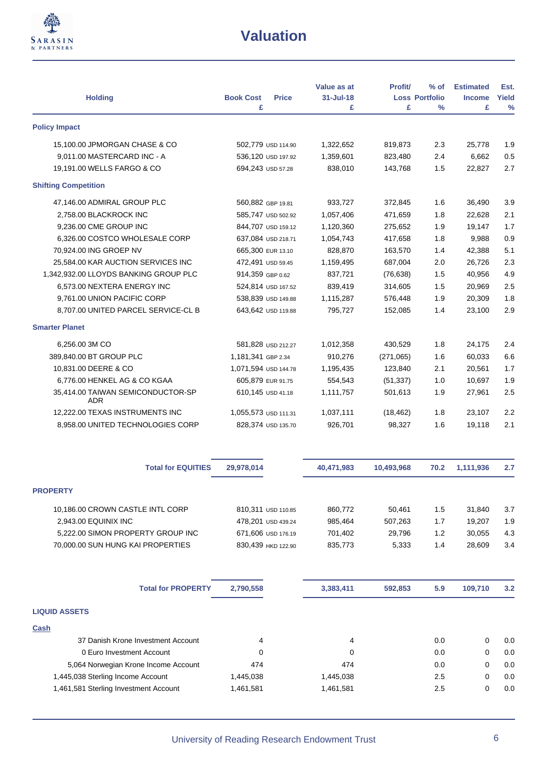

| <b>Holding</b>                                                    | <b>Book Cost</b><br><b>Price</b> | Value as at<br>$31 -$ Jul-18 | <b>Profit/</b> | $%$ of<br><b>Loss Portfolio</b> | <b>Estimated</b><br><b>Income</b> | Est.<br>Yield |
|-------------------------------------------------------------------|----------------------------------|------------------------------|----------------|---------------------------------|-----------------------------------|---------------|
| <b>Policy Impact</b>                                              | £                                | £                            | £              | $\%$                            | £                                 | $\frac{0}{0}$ |
|                                                                   |                                  |                              |                |                                 |                                   |               |
| 15,100.00 JPMORGAN CHASE & CO                                     | 502,779 USD 114.90               | 1,322,652                    | 819,873        | 2.3                             | 25,778                            | 1.9           |
| 9,011.00 MASTERCARD INC - A                                       | 536,120 USD 197.92               | 1,359,601                    | 823,480        | 2.4                             | 6,662                             | 0.5           |
| 19,191.00 WELLS FARGO & CO                                        | 694,243 USD 57.28                | 838,010                      | 143,768        | 1.5                             | 22,827                            | 2.7           |
| <b>Shifting Competition</b>                                       |                                  |                              |                |                                 |                                   |               |
| 47,146.00 ADMIRAL GROUP PLC                                       | 560.882 GBP 19.81                | 933,727                      | 372,845        | 1.6                             | 36,490                            | 3.9           |
| 2,758.00 BLACKROCK INC                                            | 585,747 USD 502.92               | 1,057,406                    | 471,659        | 1.8                             | 22,628                            | 2.1           |
| 9,236.00 CME GROUP INC                                            | 844,707 USD 159.12               | 1,120,360                    | 275,652        | 1.9                             | 19,147                            | 1.7           |
| 6,326.00 COSTCO WHOLESALE CORP                                    | 637,084 USD 218.71               | 1,054,743                    | 417,658        | 1.8                             | 9,988                             | 0.9           |
| 70,924.00 ING GROEP NV                                            | 665,300 EUR 13.10                | 828,870                      | 163,570        | 1.4                             | 42,388                            | 5.1           |
| 25,584.00 KAR AUCTION SERVICES INC                                | 472,491 USD 59.45                | 1,159,495                    | 687,004        | 2.0                             | 26,726                            | 2.3           |
| 1,342,932.00 LLOYDS BANKING GROUP PLC                             | 914,359 GBP 0.62                 | 837,721                      | (76, 638)      | 1.5                             | 40,956                            | 4.9           |
| 6,573.00 NEXTERA ENERGY INC                                       | 524,814 USD 167.52               | 839,419                      | 314,605        | 1.5                             | 20,969                            | 2.5           |
| 9,761.00 UNION PACIFIC CORP                                       | 538,839 USD 149.88               | 1,115,287                    | 576,448        | 1.9                             | 20,309                            | 1.8           |
| 8,707.00 UNITED PARCEL SERVICE-CL B                               | 643,642 USD 119.88               | 795,727                      | 152,085        | 1.4                             | 23,100                            | 2.9           |
| <b>Smarter Planet</b>                                             |                                  |                              |                |                                 |                                   |               |
| 6,256.00 3M CO                                                    | 581,828 USD 212.27               | 1,012,358                    | 430,529        | 1.8                             | 24,175                            | 2.4           |
| 389,840.00 BT GROUP PLC                                           | 1,181,341 GBP 2.34               | 910,276                      | (271,065)      | 1.6                             | 60,033                            | 6.6           |
| 10,831.00 DEERE & CO                                              | 1,071,594 USD 144.78             | 1,195,435                    | 123,840        | 2.1                             | 20,561                            | 1.7           |
| 6,776.00 HENKEL AG & CO KGAA                                      | 605,879 EUR 91.75                | 554,543                      | (51, 337)      | 1.0                             | 10,697                            | 1.9           |
| 35,414.00 TAIWAN SEMICONDUCTOR-SP<br>ADR.                         | 610,145 USD 41.18                | 1,111,757                    | 501,613        | 1.9                             | 27,961                            | 2.5           |
| 12,222.00 TEXAS INSTRUMENTS INC                                   | 1,055,573 USD 111.31             | 1,037,111                    | (18, 462)      | 1.8                             | 23,107                            | 2.2           |
| 8,958.00 UNITED TECHNOLOGIES CORP                                 | 828,374 USD 135.70               | 926,701                      | 98,327         | 1.6                             | 19,118                            | 2.1           |
| <b>Total for EQUITIES</b>                                         | 29,978,014                       | 40,471,983                   | 10,493,968     | 70.2                            | 1,111,936                         | 2.7           |
| <b>PROPERTY</b>                                                   |                                  |                              |                |                                 |                                   |               |
| 10,186.00 CROWN CASTLE INTL CORP                                  | 810,311 USD 110.85               | 860,772                      | 50,461         | 1.5                             | 31,840                            | 3.7           |
| 2,943.00 EQUINIX INC                                              | 478,201 USD 439.24               | 985,464                      | 507,263        | 1.7                             | 19,207                            | 1.9           |
| 5,222.00 SIMON PROPERTY GROUP INC                                 | 671,606 USD 176.19               | 701,402                      | 29,796         | 1.2                             | 30,055                            | 4.3           |
| 70,000.00 SUN HUNG KAI PROPERTIES                                 | 830,439 HKD 122.90               | 835,773                      | 5,333          | 1.4                             | 28,609                            | 3.4           |
| <b>Total for PROPERTY</b>                                         | 2,790,558                        | 3,383,411                    | 592,853        | 5.9                             | 109,710                           | 3.2           |
| <b>LIQUID ASSETS</b>                                              |                                  |                              |                |                                 |                                   |               |
| <b>Cash</b>                                                       |                                  |                              |                |                                 |                                   |               |
| 37 Danish Krone Investment Account                                | 4                                | 4                            |                | 0.0                             | 0                                 | 0.0           |
|                                                                   |                                  | 0                            |                | 0.0                             |                                   | 0.0           |
| 0 Euro Investment Account<br>5,064 Norwegian Krone Income Account | 0<br>474                         | 474                          |                | 0.0                             | 0<br>0                            | 0.0           |
|                                                                   |                                  |                              |                | 2.5                             | 0                                 | 0.0           |
| 1,445,038 Sterling Income Account                                 | 1,445,038                        | 1,445,038                    |                |                                 |                                   |               |
| 1,461,581 Sterling Investment Account                             | 1,461,581                        | 1,461,581                    |                | 2.5                             | 0                                 | 0.0           |